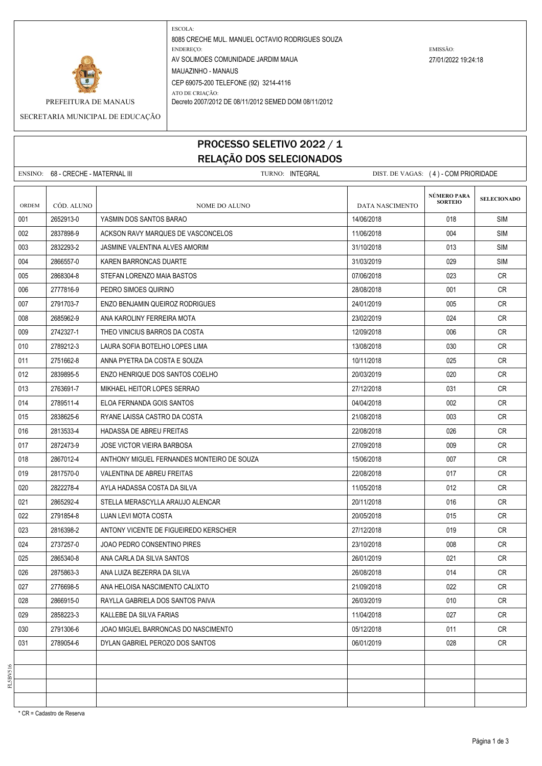

ESCOLA: 8085 CRECHE MUL. MANUEL OCTAVIO RODRIGUES SOUZA ENDEREÇO: EMISSÃO: AV SOLIMOES COMUNIDADE JARDIM MAUA 27/01/2022 19:24:18 MAUAZINHO - MANAUS CEP 69075-200 TELEFONE (92) 3214-4116 ATO DE CRIAÇÃO:

PREFEITURA DE MANAUS Decreto 2007/2012 DE 08/11/2012 SEMED DOM 08/11/2012

SECRETARIA MUNICIPAL DE EDUCAÇÃO

## PROCESSO SELETIVO 2022 / 1 RELAÇÃO DOS SELECIONADOS

ENSINO: 68 - CRECHE - MATERNAL III TURNO: INTEGRAL DIST. DE VAGAS: (4) - COM PRIORIDADE **SELECIONADO** ORDEM CÓD. ALUNO **NOME DO ALUNO** NOME DO ALUNO DATA NASCIMENTO 001 2652913-0 YASMIN DOS SANTOS BARAO 14/06/2018 018 SIM 002 2837898-9 ACKSON RAVY MARQUES DE VASCONCELOS 11/06/2018 004 SIM 003 2832293-2 JASMINE VALENTINA ALVES AMORIM 31/10/2018 013 SIM 004 2866557-0 KAREN BARRONCAS DUARTE 31/03/2019 31/03/2019 309 SIM 005 2868304-8 STEFAN LORENZO MAIA BASTOS 07/06/2018 023 CR 006 2777816-9 PEDRO SIMOES QUIRINO 28/08/2018 001 CR 007 2791703-7 ENZO BENJAMIN QUEIROZ RODRIGUES 24/01/2019 24/01/2019 25/01/2019 005 CR 008 2685962.9 ANA KAROLINY FERREIRA MOTA 2002/2019 23/02/2019 2002/2019 024 CR 009 2742327-1 THEO VINICIUS BARROS DA COSTA 1209 1209/2018 2010 2010 12/09/2018 006 CR 010 2789212-3 LAURA SOFIA BOTELHO LOPES LIMA 13/08/2018 2013 030 CR 011 2751662-8 ANNA PYETRA DA COSTA E SOUZA 10/11/2018 CR 012 2839895-5 ENZO HENRIQUE DOS SANTOS COELHO 2002 2003/2019 20/03/2019 020 CR 013 2763691-7 MIKHAEL HEITOR LOPES SERRAO 27/12/2018 031 CR 014 2789511-4 ELOA FERNANDA GOIS SANTOS 04/04/2018 002 CR 015 2838625-6 RYANE LAISSA CASTRO DA COSTA 2002 2003 21/08/2018 21/08/2018 003 CR 016 2813533-4 HADASSA DE ABREU FREITAS 22/08/2018 CR 017 2872473-9 JOSE VICTOR VIEIRA BARBOSA 2000 27/09/2018 27/09/2018 2010 2010 2010 018 2867012-4 ANTHONY MIGUEL FERNANDES MONTEIRO DE SOUZA 15/06/2018 15/06/2018 007 CR 019 2817570-0 VALENTINA DE ABREU FREITAS 22/08/2018 017 CR 020 2822278-4 AYLA HADASSA COSTA DA SILVA 11/05/2018 | 11/05/2018 | 012 | CR 021 2865292-4 STELLA MERASCYLLA ARAUJO ALENCAR 20/11/2018 016 CR 022 2791854-8 LUAN LEVI MOTA COSTA 2002 2002 2005/2018 20/05/2018 015 CR 023 2816398-2 ANTONY VICENTE DE FIGUEIREDO KERSCHER 27/12/2018 CR 024 2737257-0 JOAO PEDRO CONSENTINO PIRES 23/10/2018 23/10/2018 23/10/2018 23/3/10 025 2865340-8 ANA CARLA DA SILVA SANTOS 26/01/2019 26/01/2019 26/01/2019 021 CR 026 2875863-3 ANA LUIZA BEZERRA DA SILVA 26/08/2018 | 26/08/2018 | 014 | CR 027 2776698-5 ANA HELOISA NASCIMENTO CALIXTO 21 21/09/2018 21/09/2018 022 CR 028 2866915-0 RAYLLA GABRIELA DOS SANTOS PAIVA 26/03/2019 010 CR 029 2858223-3 KALLEBE DA SILVA FARIAS 11/04/2018 11/04/2018 027 CR 030 2791306-6 J JOAO MIGUEL BARRONCAS DO NASCIMENTO 05/12/2018 CR 031 2789054-6 DYLAN GABRIEL PEROZO DOS SANTOS 06/01/2019 028 CR **NÚMERO PARA SORTEIO**

\* CR = Cadastro de Reserva

FL5BV516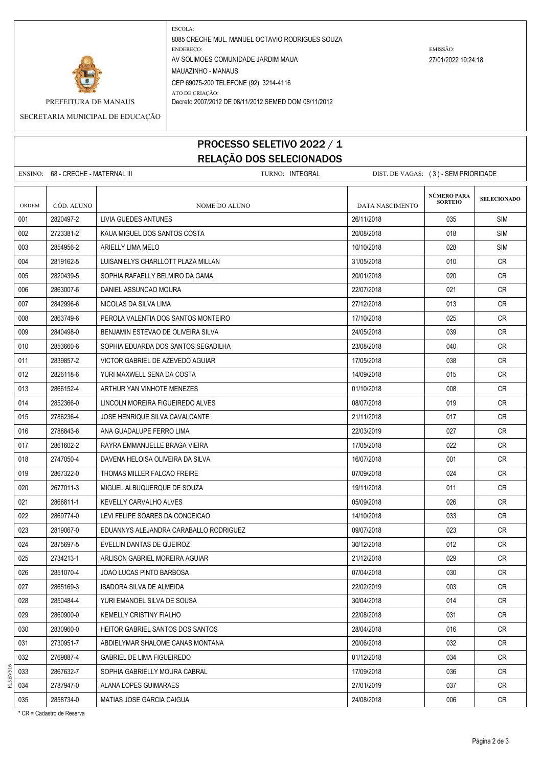

ESCOLA: 8085 CRECHE MUL. MANUEL OCTAVIO RODRIGUES SOUZA ENDEREÇO: EMISSÃO: AV SOLIMOES COMUNIDADE JARDIM MAUA 27/01/2022 19:24:18 MAUAZINHO - MANAUS CEP 69075-200 TELEFONE (92) 3214-4116 ATO DE CRIAÇÃO:

PREFEITURA DE MANAUS Decreto 2007/2012 DE 08/11/2012 SEMED DOM 08/11/2012

SECRETARIA MUNICIPAL DE EDUCAÇÃO

## PROCESSO SELETIVO 2022 / 1 RELAÇÃO DOS SELECIONADOS

ENSINO: 68 - CRECHE - MATERNAL III **ENSINO: INTEGRAL ENSINO: INTEGRAL** DIST. DE VAGAS: ( 3 ) - SEM PRIORIDADE **SELECIONADO** ORDEM CÓD. ALUNO **NOME DO ALUNO** NOME DO ALUNO DATA NASCIMENTO 001 2820497-2 LIVIA GUEDES ANTUNES 26/11/2018 035 SIM 002 2723381-2 KAUA MIGUEL DOS SANTOS COSTA 2008/2018 20/08/2018 9018 9118 SIM 003 | 2854956-2 | ARIELLY LIMA MELO | 10/10/2018 SIM 004 2819162-5 LUISANIELYS CHARLLOTT PLAZA MILLAN 31/05/2018 010 CR 005 2820439-5 SOPHIA RAFAELLY BELMIRO DA GAMA 2000 20001/2018 005 20/01/2018 020 CR 006 2863007-6 DANIEL ASSUNCAO MOURA 22/07/2018 CR 007 2842996-6 NICOLAS DA SILVA LIMA 27/12/2018 27/12/2018 0013 CR 008 2863749-6 PEROLA VALENTIA DOS SANTOS MONTEIRO 17/10/2018 025 CR 009 2840498-0 BENJAMIN ESTEVAO DE OLIVEIRA SILVA 2AND 24/05/2018 | 23/05/2018 | 239 | CR 010 2853660-6 SOPHIA EDUARDA DOS SANTOS SEGADILHA 23/08/2018 23/08/2018 040 CR 011 2839857-2 VICTOR GABRIEL DE AZEVEDO AGUIAR 17/05/2018 038 CR 012 2826118-6 VURI MAXWELL SENA DA COSTA 14/09/2018 2010 2015 015 CR 013 2866152-4 ARTHUR YAN VINHOTE MENEZES 01/10/2018 CR 014 2852366-0 LINCOLN MOREIRA FIGUEIREDO ALVES 08/07/2018 019 CR 015 2786236-4 JOSE HENRIQUE SILVA CAVALCANTE 2000 2000 21/11/2018 21/11/2018 017 CR 016 2788843-6 ANA GUADALUPE FERRO LIMA 22/03/2019 CR 017 2861602-2 RAYRA EMMANUELLE BRAGA VIEIRA 17.05/2018 17/05/2018 022 CR 018 2747050-4 DAVENA HELOISA OLIVEIRA DA SILVA 16/07/2018 | 16/07/2018 | 001 | CR 019 2867322-0 THOMAS MILLER FALCAO FREIRE CONTROLLER CONTROLLER D7/09/2018 07/09/2018 024 CR 020 2677011-3 MIGUEL ALBUQUERQUE DE SOUZA 19/11/2018 011 CR 021 2866811-1 KEVELLY CARVALHO ALVES 05/09/2018 026 CR 022 2869774-0 LEVI FELIPE SOARES DA CONCEICAO 14/10/2018 | 14/10/2018 | 033 CR 023 2819067-0 EDUANNYS ALEJANDRA CARABALLO RODRIGUEZ CONTENT D9/07/2018 09/07/2018 023 CR 024 2875697-5 EVELLIN DANTAS DE QUEIROZ 30/12/2018 012 CR 025 2734213-1 ARLISON GABRIEL MOREIRA AGUIAR 21/12/2018 029 CR 026 2851070-4 JOAO LUCAS PINTO BARBOSA 07/04/2018 030 CR 027 2865169-3 ISADORA SILVA DE ALMEIDA 22/02/2019 003 CR 028 2850484-4 YURI EMANOEL SILVA DE SOUSA 30/04/2018 014 CR 029 2860900-0 KEMELLY CRISTINY FIALHO 22/08/2018 031 CR 030 2830960-0 HEITOR GABRIEL SANTOS DOS SANTOS 28/04/2018 28/04/2018 016 CR 031 2730951-7 ABDIELYMAR SHALOME CANAS MONTANA 20/06/2018 032 CR 032 2769887-4 GABRIEL DE LIMA FIGUEIREDO 01/12/2018 034 CR 033 2867632-7 SOPHIA GABRIELLY MOURA CABRAL 17/09/2018 CR 034 2787947-0 ALANA LOPES GUIMARAES 2000 27/01/2019 27/01/2019 27/01/2019 037 CR 035 2858734-0 | MATIAS JOSE GARCIA CAIGUA 24/08/2018 | 24/08/2018 | 24/08/2018 | 2006 | CR **NÚMERO PARA SORTEIO**

\* CR = Cadastro de Reserva

FL5BV516